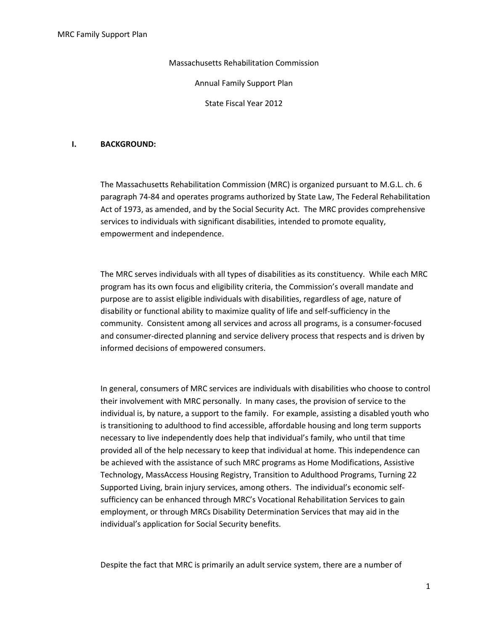Massachusetts Rehabilitation Commission

Annual Family Support Plan

State Fiscal Year 2012

### I. BACKGROUND:

The Massachusetts Rehabilitation Commission (MRC) is organized pursuant to M.G.L. ch. 6 paragraph 74-84 and operates programs authorized by State Law, The Federal Rehabilitation Act of 1973, as amended, and by the Social Security Act. The MRC provides comprehensive services to individuals with significant disabilities, intended to promote equality, empowerment and independence.

The MRC serves individuals with all types of disabilities as its constituency. While each MRC program has its own focus and eligibility criteria, the Commission's overall mandate and purpose are to assist eligible individuals with disabilities, regardless of age, nature of disability or functional ability to maximize quality of life and self-sufficiency in the community. Consistent among all services and across all programs, is a consumer-focused and consumer-directed planning and service delivery process that respects and is driven by informed decisions of empowered consumers.

In general, consumers of MRC services are individuals with disabilities who choose to control their involvement with MRC personally. In many cases, the provision of service to the individual is, by nature, a support to the family. For example, assisting a disabled youth who is transitioning to adulthood to find accessible, affordable housing and long term supports necessary to live independently does help that individual's family, who until that time provided all of the help necessary to keep that individual at home. This independence can be achieved with the assistance of such MRC programs as Home Modifications, Assistive Technology, MassAccess Housing Registry, Transition to Adulthood Programs, Turning 22 Supported Living, brain injury services, among others. The individual's economic selfsufficiency can be enhanced through MRC's Vocational Rehabilitation Services to gain employment, or through MRCs Disability Determination Services that may aid in the individual's application for Social Security benefits.

Despite the fact that MRC is primarily an adult service system, there are a number of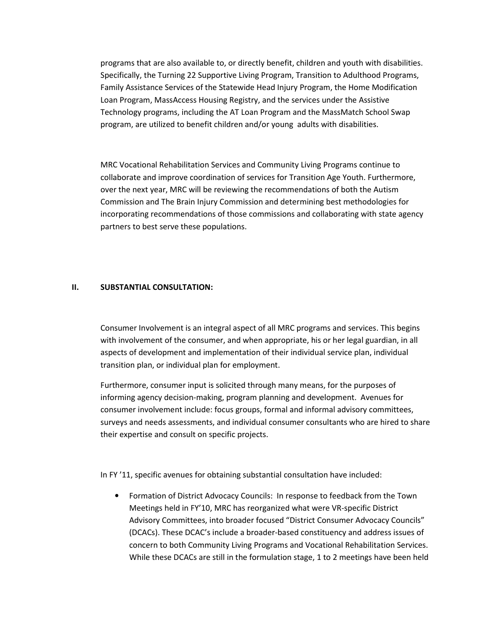programs that are also available to, or directly benefit, children and youth with disabilities. Specifically, the Turning 22 Supportive Living Program, Transition to Adulthood Programs, Family Assistance Services of the Statewide Head Injury Program, the Home Modification Loan Program, MassAccess Housing Registry, and the services under the Assistive Technology programs, including the AT Loan Program and the MassMatch School Swap program, are utilized to benefit children and/or young adults with disabilities.

MRC Vocational Rehabilitation Services and Community Living Programs continue to collaborate and improve coordination of services for Transition Age Youth. Furthermore, over the next year, MRC will be reviewing the recommendations of both the Autism Commission and The Brain Injury Commission and determining best methodologies for incorporating recommendations of those commissions and collaborating with state agency partners to best serve these populations.

#### II. SUBSTANTIAL CONSULTATION:

Consumer Involvement is an integral aspect of all MRC programs and services. This begins with involvement of the consumer, and when appropriate, his or her legal guardian, in all aspects of development and implementation of their individual service plan, individual transition plan, or individual plan for employment.

Furthermore, consumer input is solicited through many means, for the purposes of informing agency decision-making, program planning and development. Avenues for consumer involvement include: focus groups, formal and informal advisory committees, surveys and needs assessments, and individual consumer consultants who are hired to share their expertise and consult on specific projects.

In FY '11, specific avenues for obtaining substantial consultation have included:

• Formation of District Advocacy Councils: In response to feedback from the Town Meetings held in FY'10, MRC has reorganized what were VR-specific District Advisory Committees, into broader focused "District Consumer Advocacy Councils" (DCACs). These DCAC's include a broader-based constituency and address issues of concern to both Community Living Programs and Vocational Rehabilitation Services. While these DCACs are still in the formulation stage, 1 to 2 meetings have been held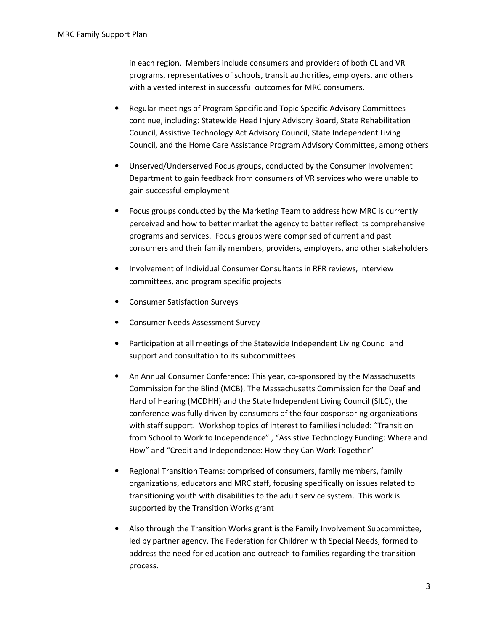in each region. Members include consumers and providers of both CL and VR programs, representatives of schools, transit authorities, employers, and others with a vested interest in successful outcomes for MRC consumers.

- Regular meetings of Program Specific and Topic Specific Advisory Committees continue, including: Statewide Head Injury Advisory Board, State Rehabilitation Council, Assistive Technology Act Advisory Council, State Independent Living Council, and the Home Care Assistance Program Advisory Committee, among others
- Unserved/Underserved Focus groups, conducted by the Consumer Involvement Department to gain feedback from consumers of VR services who were unable to gain successful employment
- Focus groups conducted by the Marketing Team to address how MRC is currently perceived and how to better market the agency to better reflect its comprehensive programs and services. Focus groups were comprised of current and past consumers and their family members, providers, employers, and other stakeholders
- Involvement of Individual Consumer Consultants in RFR reviews, interview committees, and program specific projects
- Consumer Satisfaction Surveys
- Consumer Needs Assessment Survey
- Participation at all meetings of the Statewide Independent Living Council and support and consultation to its subcommittees
- An Annual Consumer Conference: This year, co-sponsored by the Massachusetts Commission for the Blind (MCB), The Massachusetts Commission for the Deaf and Hard of Hearing (MCDHH) and the State Independent Living Council (SILC), the conference was fully driven by consumers of the four cosponsoring organizations with staff support. Workshop topics of interest to families included: "Transition from School to Work to Independence" , "Assistive Technology Funding: Where and How" and "Credit and Independence: How they Can Work Together"
- Regional Transition Teams: comprised of consumers, family members, family organizations, educators and MRC staff, focusing specifically on issues related to transitioning youth with disabilities to the adult service system. This work is supported by the Transition Works grant
- Also through the Transition Works grant is the Family Involvement Subcommittee, led by partner agency, The Federation for Children with Special Needs, formed to address the need for education and outreach to families regarding the transition process.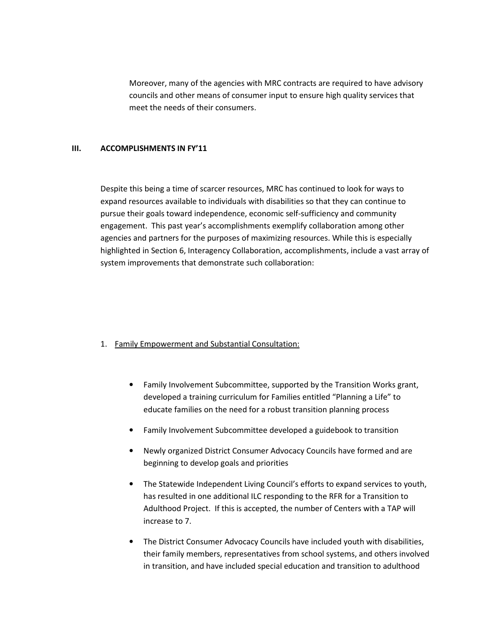Moreover, many of the agencies with MRC contracts are required to have advisory councils and other means of consumer input to ensure high quality services that meet the needs of their consumers.

## III. ACCOMPLISHMENTS IN FY'11

Despite this being a time of scarcer resources, MRC has continued to look for ways to expand resources available to individuals with disabilities so that they can continue to pursue their goals toward independence, economic self-sufficiency and community engagement. This past year's accomplishments exemplify collaboration among other agencies and partners for the purposes of maximizing resources. While this is especially highlighted in Section 6, Interagency Collaboration, accomplishments, include a vast array of system improvements that demonstrate such collaboration:

## 1. Family Empowerment and Substantial Consultation:

- Family Involvement Subcommittee, supported by the Transition Works grant, developed a training curriculum for Families entitled "Planning a Life" to educate families on the need for a robust transition planning process
- Family Involvement Subcommittee developed a guidebook to transition
- Newly organized District Consumer Advocacy Councils have formed and are beginning to develop goals and priorities
- The Statewide Independent Living Council's efforts to expand services to youth, has resulted in one additional ILC responding to the RFR for a Transition to Adulthood Project. If this is accepted, the number of Centers with a TAP will increase to 7.
- The District Consumer Advocacy Councils have included youth with disabilities, their family members, representatives from school systems, and others involved in transition, and have included special education and transition to adulthood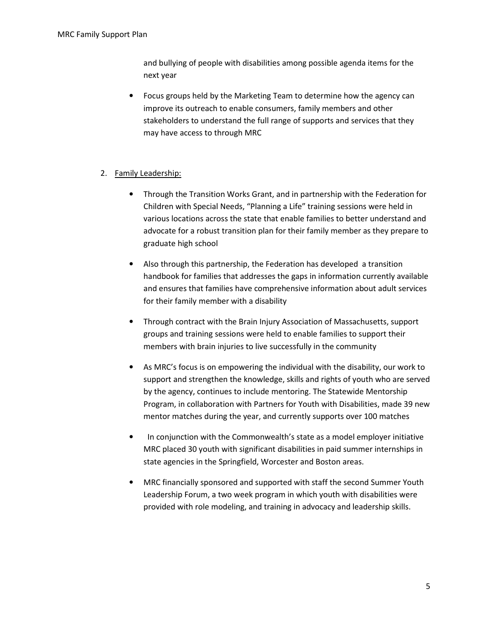and bullying of people with disabilities among possible agenda items for the next year

• Focus groups held by the Marketing Team to determine how the agency can improve its outreach to enable consumers, family members and other stakeholders to understand the full range of supports and services that they may have access to through MRC

## 2. Family Leadership:

- Through the Transition Works Grant, and in partnership with the Federation for Children with Special Needs, "Planning a Life" training sessions were held in various locations across the state that enable families to better understand and advocate for a robust transition plan for their family member as they prepare to graduate high school
- Also through this partnership, the Federation has developed a transition handbook for families that addresses the gaps in information currently available and ensures that families have comprehensive information about adult services for their family member with a disability
- Through contract with the Brain Injury Association of Massachusetts, support groups and training sessions were held to enable families to support their members with brain injuries to live successfully in the community
- As MRC's focus is on empowering the individual with the disability, our work to support and strengthen the knowledge, skills and rights of youth who are served by the agency, continues to include mentoring. The Statewide Mentorship Program, in collaboration with Partners for Youth with Disabilities, made 39 new mentor matches during the year, and currently supports over 100 matches
- In conjunction with the Commonwealth's state as a model employer initiative MRC placed 30 youth with significant disabilities in paid summer internships in state agencies in the Springfield, Worcester and Boston areas.
- MRC financially sponsored and supported with staff the second Summer Youth Leadership Forum, a two week program in which youth with disabilities were provided with role modeling, and training in advocacy and leadership skills.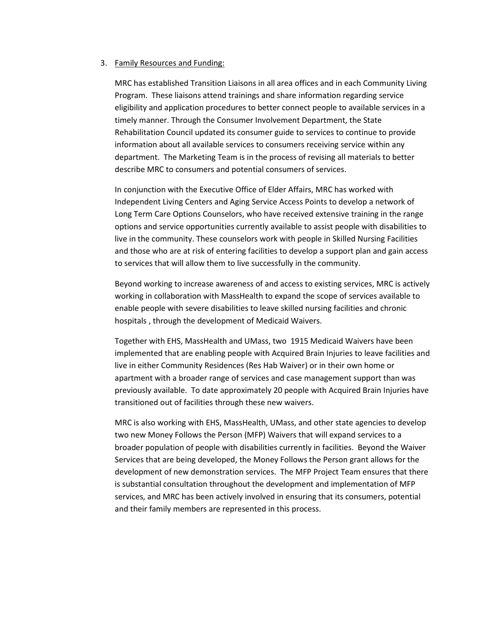#### 3. Family Resources and Funding:

MRC has established Transition Liaisons in all area offices and in each Community Living Program. These liaisons attend trainings and share information regarding service eligibility and application procedures to better connect people to available services in a timely manner. Through the Consumer Involvement Department, the State Rehabilitation Council updated its consumer guide to services to continue to provide information about all available services to consumers receiving service within any department. The Marketing Team is in the process of revising all materials to better describe MRC to consumers and potential consumers of services.

In conjunction with the Executive Office of Elder Affairs, MRC has worked with Independent Living Centers and Aging Service Access Points to develop a network of Long Term Care Options Counselors, who have received extensive training in the range options and service opportunities currently available to assist people with disabilities to live in the community. These counselors work with people in Skilled Nursing Facilities and those who are at risk of entering facilities to develop a support plan and gain access to services that will allow them to live successfully in the community.

Beyond working to increase awareness of and access to existing services, MRC is actively working in collaboration with MassHealth to expand the scope of services available to enable people with severe disabilities to leave skilled nursing facilities and chronic hospitals , through the development of Medicaid Waivers.

Together with EHS, MassHealth and UMass, two 1915 Medicaid Waivers have been implemented that are enabling people with Acquired Brain Injuries to leave facilities and live in either Community Residences (Res Hab Waiver) or in their own home or apartment with a broader range of services and case management support than was previously available. To date approximately 20 people with Acquired Brain Injuries have transitioned out of facilities through these new waivers.

MRC is also working with EHS, MassHealth, UMass, and other state agencies to develop two new Money Follows the Person (MFP) Waivers that will expand services to a broader population of people with disabilities currently in facilities. Beyond the Waiver Services that are being developed, the Money Follows the Person grant allows for the development of new demonstration services. The MFP Project Team ensures that there is substantial consultation throughout the development and implementation of MFP services, and MRC has been actively involved in ensuring that its consumers, potential and their family members are represented in this process.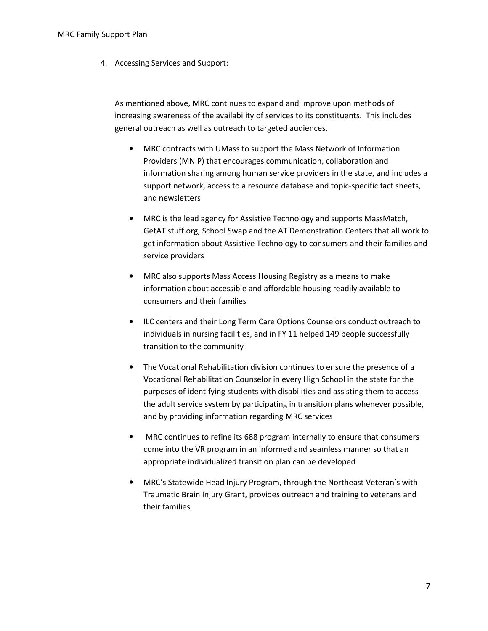4. Accessing Services and Support:

As mentioned above, MRC continues to expand and improve upon methods of increasing awareness of the availability of services to its constituents. This includes general outreach as well as outreach to targeted audiences.

- MRC contracts with UMass to support the Mass Network of Information Providers (MNIP) that encourages communication, collaboration and information sharing among human service providers in the state, and includes a support network, access to a resource database and topic-specific fact sheets, and newsletters
- MRC is the lead agency for Assistive Technology and supports MassMatch, GetAT stuff.org, School Swap and the AT Demonstration Centers that all work to get information about Assistive Technology to consumers and their families and service providers
- MRC also supports Mass Access Housing Registry as a means to make information about accessible and affordable housing readily available to consumers and their families
- ILC centers and their Long Term Care Options Counselors conduct outreach to individuals in nursing facilities, and in FY 11 helped 149 people successfully transition to the community
- The Vocational Rehabilitation division continues to ensure the presence of a Vocational Rehabilitation Counselor in every High School in the state for the purposes of identifying students with disabilities and assisting them to access the adult service system by participating in transition plans whenever possible, and by providing information regarding MRC services
- MRC continues to refine its 688 program internally to ensure that consumers come into the VR program in an informed and seamless manner so that an appropriate individualized transition plan can be developed
- MRC's Statewide Head Injury Program, through the Northeast Veteran's with Traumatic Brain Injury Grant, provides outreach and training to veterans and their families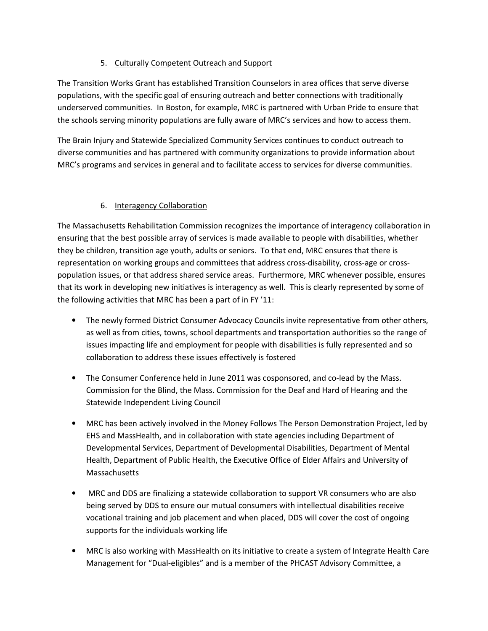# 5. Culturally Competent Outreach and Support

The Transition Works Grant has established Transition Counselors in area offices that serve diverse populations, with the specific goal of ensuring outreach and better connections with traditionally underserved communities. In Boston, for example, MRC is partnered with Urban Pride to ensure that the schools serving minority populations are fully aware of MRC's services and how to access them.

The Brain Injury and Statewide Specialized Community Services continues to conduct outreach to diverse communities and has partnered with community organizations to provide information about MRC's programs and services in general and to facilitate access to services for diverse communities.

# 6. Interagency Collaboration

The Massachusetts Rehabilitation Commission recognizes the importance of interagency collaboration in ensuring that the best possible array of services is made available to people with disabilities, whether they be children, transition age youth, adults or seniors. To that end, MRC ensures that there is representation on working groups and committees that address cross-disability, cross-age or crosspopulation issues, or that address shared service areas. Furthermore, MRC whenever possible, ensures that its work in developing new initiatives is interagency as well. This is clearly represented by some of the following activities that MRC has been a part of in FY '11:

- The newly formed District Consumer Advocacy Councils invite representative from other others, as well as from cities, towns, school departments and transportation authorities so the range of issues impacting life and employment for people with disabilities is fully represented and so collaboration to address these issues effectively is fostered
- The Consumer Conference held in June 2011 was cosponsored, and co-lead by the Mass. Commission for the Blind, the Mass. Commission for the Deaf and Hard of Hearing and the Statewide Independent Living Council
- MRC has been actively involved in the Money Follows The Person Demonstration Project, led by EHS and MassHealth, and in collaboration with state agencies including Department of Developmental Services, Department of Developmental Disabilities, Department of Mental Health, Department of Public Health, the Executive Office of Elder Affairs and University of Massachusetts
- MRC and DDS are finalizing a statewide collaboration to support VR consumers who are also being served by DDS to ensure our mutual consumers with intellectual disabilities receive vocational training and job placement and when placed, DDS will cover the cost of ongoing supports for the individuals working life
- MRC is also working with MassHealth on its initiative to create a system of Integrate Health Care Management for "Dual-eligibles" and is a member of the PHCAST Advisory Committee, a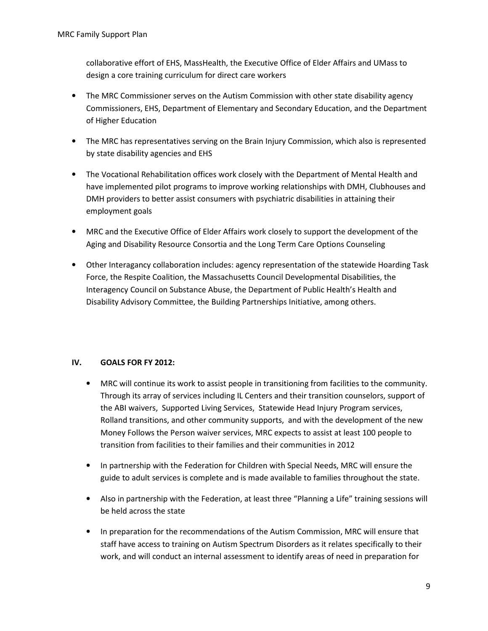collaborative effort of EHS, MassHealth, the Executive Office of Elder Affairs and UMass to design a core training curriculum for direct care workers

- The MRC Commissioner serves on the Autism Commission with other state disability agency Commissioners, EHS, Department of Elementary and Secondary Education, and the Department of Higher Education
- The MRC has representatives serving on the Brain Injury Commission, which also is represented by state disability agencies and EHS
- The Vocational Rehabilitation offices work closely with the Department of Mental Health and have implemented pilot programs to improve working relationships with DMH, Clubhouses and DMH providers to better assist consumers with psychiatric disabilities in attaining their employment goals
- MRC and the Executive Office of Elder Affairs work closely to support the development of the Aging and Disability Resource Consortia and the Long Term Care Options Counseling
- Other Interagancy collaboration includes: agency representation of the statewide Hoarding Task Force, the Respite Coalition, the Massachusetts Council Developmental Disabilities, the Interagency Council on Substance Abuse, the Department of Public Health's Health and Disability Advisory Committee, the Building Partnerships Initiative, among others.

## IV. GOALS FOR FY 2012:

- MRC will continue its work to assist people in transitioning from facilities to the community. Through its array of services including IL Centers and their transition counselors, support of the ABI waivers, Supported Living Services, Statewide Head Injury Program services, Rolland transitions, and other community supports, and with the development of the new Money Follows the Person waiver services, MRC expects to assist at least 100 people to transition from facilities to their families and their communities in 2012
- In partnership with the Federation for Children with Special Needs, MRC will ensure the guide to adult services is complete and is made available to families throughout the state.
- Also in partnership with the Federation, at least three "Planning a Life" training sessions will be held across the state
- In preparation for the recommendations of the Autism Commission, MRC will ensure that staff have access to training on Autism Spectrum Disorders as it relates specifically to their work, and will conduct an internal assessment to identify areas of need in preparation for